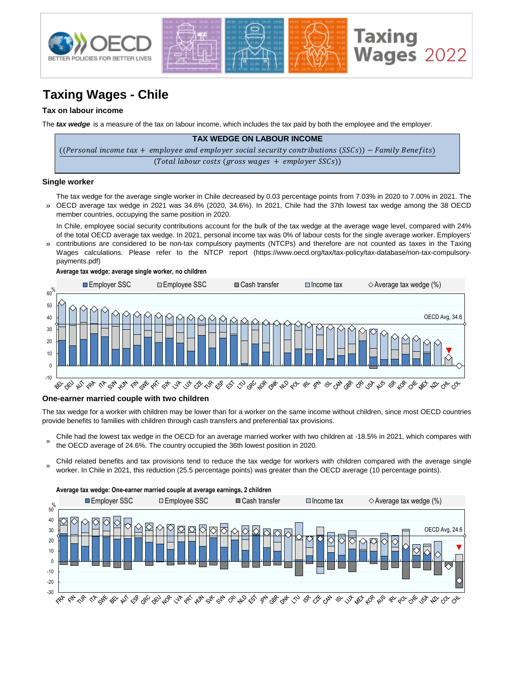

# **Taxing Wages - Chile**

## **Tax on labour income**

The *tax wedge* is a measure of the tax on labour income, which includes the tax paid by both the employee and the employer.

#### **TAX WEDGE ON LABOUR INCOME**

((Personal income tax + employee and employer social security contributions (SSCs)) – Family Benefits) (Total labour costs (gross wages  $+$  employer  $SSCs$ ))

#### **Single worker**

» The tax wedge for the average single worker in Chile decreased by 0.03 percentage points from 7.03% in 2020 to 7.00% in 2021. The OECD average tax wedge in 2021 was 34.6% (2020, 34.6%). In 2021, Chile had the 37th lowest tax wedge among the 38 OECD member countries, occupying the same position in 2020.

In Chile, employee social security contributions account for the bulk of the tax wedge at the average wage level, compared with 24% of the total OECD average tax wedge. In 2021, personal income tax was 0% of labour costs for the single average worker. Employers'

contributions are considered to be non-tax compulsory payments (NTCPs) and therefore are not counted as taxes in the Taxing » Wages calculations. Please refer to the NTCP report (https://www.oecd.org/tax/tax-policy/tax-database/non-tax-compulsorypayments.pdf)

#### **Average tax wedge: average single worker, no children**



#### **One-earner married couple with two children**

The tax wedge for a worker with children may be lower than for a worker on the same income without children, since most OECD countries provide benefits to families with children through cash transfers and preferential tax provisions.

- » Chile had the lowest tax wedge in the OECD for an average married worker with two children at -18.5% in 2021, which compares with the OECD average of 24.6%. The country occupied the 36th lowest position in 2020.
- Child related benefits and tax provisions tend to reduce the tax wedge for workers with children compared with the average single worker. In Chile in 2021, this reduction (25.5 percentage points) was greater than the OECD average (10 percentage points).